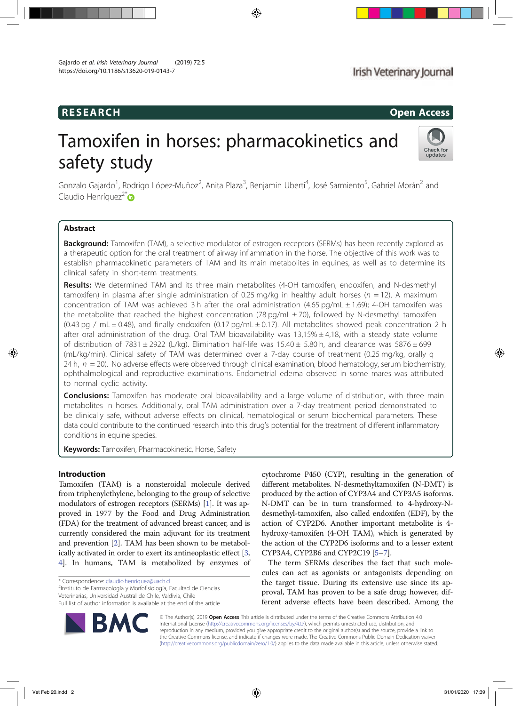# RESEARCH Open Access

# Tamoxifen in horses: pharmacokinetics and safety study



Gonzalo Gajardo<sup>1</sup>, Rodrigo López-Muñoz<sup>2</sup>, Anita Plaza<sup>3</sup>, Benjamin Uberti<sup>4</sup>, José Sarmiento<sup>5</sup>, Gabriel Morán<sup>2</sup> and Claudio Henríquez<sup>2\*</sup>®

# Abstract

**Background:** Tamoxifen (TAM), a selective modulator of estrogen receptors (SERMs) has been recently explored as a therapeutic option for the oral treatment of airway inflammation in the horse. The objective of this work was to establish pharmacokinetic parameters of TAM and its main metabolites in equines, as well as to determine its clinical safety in short-term treatments.

Results: We determined TAM and its three main metabolites (4-OH tamoxifen, endoxifen, and N-desmethyl tamoxifen) in plasma after single administration of 0.25 mg/kg in healthy adult horses ( $n = 12$ ). A maximum concentration of TAM was achieved 3 h after the oral administration  $(4.65 \text{ pg/mL} \pm 1.69)$ ; 4-OH tamoxifen was the metabolite that reached the highest concentration (78 pg/mL  $\pm$  70), followed by N-desmethyl tamoxifen (0.43 pg / mL  $\pm$  0.48), and finally endoxifen (0.17 pg/mL  $\pm$  0.17). All metabolites showed peak concentration 2 h after oral administration of the drug. Oral TAM bioavailability was  $13,15\% \pm 4,18$ , with a steady state volume of distribution of 7831  $\pm$  2922 (L/kg). Elimination half-life was 15.40  $\pm$  5.80 h, and clearance was 5876  $\pm$  699 (mL/kg/min). Clinical safety of TAM was determined over a 7-day course of treatment (0.25 mg/kg, orally q 24 h,  $n = 20$ ). No adverse effects were observed through clinical examination, blood hematology, serum biochemistry, ophthalmological and reproductive examinations. Endometrial edema observed in some mares was attributed to normal cyclic activity.

Conclusions: Tamoxifen has moderate oral bioavailability and a large volume of distribution, with three main metabolites in horses. Additionally, oral TAM administration over a 7-day treatment period demonstrated to be clinically safe, without adverse effects on clinical, hematological or serum biochemical parameters. These data could contribute to the continued research into this drug's potential for the treatment of different inflammatory conditions in equine species.

Keywords: Tamoxifen, Pharmacokinetic, Horse, Safety

# Introduction

Tamoxifen (TAM) is a nonsteroidal molecule derived from triphenylethylene, belonging to the group of selective modulators of estrogen receptors (SERMs) [1]. It was approved in 1977 by the Food and Drug Administration (FDA) for the treatment of advanced breast cancer, and is currently considered the main adjuvant for its treatment and prevention [2]. TAM has been shown to be metabolically activated in order to exert its antineoplastic effect [3, 4]. In humans, TAM is metabolized by enzymes of

\* Correspondence: claudio.henriquez@uach.cl <sup>2</sup>

<sup>2</sup>Instituto de Farmacología y Morfofisiología, Facultad de Ciencias Veterinarias, Universidad Austral de Chile, Valdivia, Chile

Full list of author information is available at the end of the article



cytochrome P450 (CYP), resulting in the generation of different metabolites. N-desmethyltamoxifen (N-DMT) is produced by the action of CYP3A4 and CYP3A5 isoforms. N-DMT can be in turn transformed to 4-hydroxy-Ndesmethyl-tamoxifen, also called endoxifen (EDF), by the action of CYP2D6. Another important metabolite is 4 hydroxy-tamoxifen (4-OH TAM), which is generated by the action of the CYP2D6 isoforms and to a lesser extent CYP3A4, CYP2B6 and CYP2C19 [5–7].

The term SERMs describes the fact that such molecules can act as agonists or antagonists depending on the target tissue. During its extensive use since its approval, TAM has proven to be a safe drug; however, different adverse effects have been described. Among the

© The Author(s). 2019 Open Access This article is distributed under the terms of the Creative Commons Attribution 4.0 International License (http://creativecommons.org/licenses/by/4.0/), which permits unrestricted use, distribution, and reproduction in any medium, provided you give appropriate credit to the original author(s) and the source, provide a link to the Creative Commons license, and indicate if changes were made. The Creative Commons Public Domain Dedication waiver (http://creativecommons.org/publicdomain/zero/1.0/) applies to the data made available in this article, unless otherwise stated.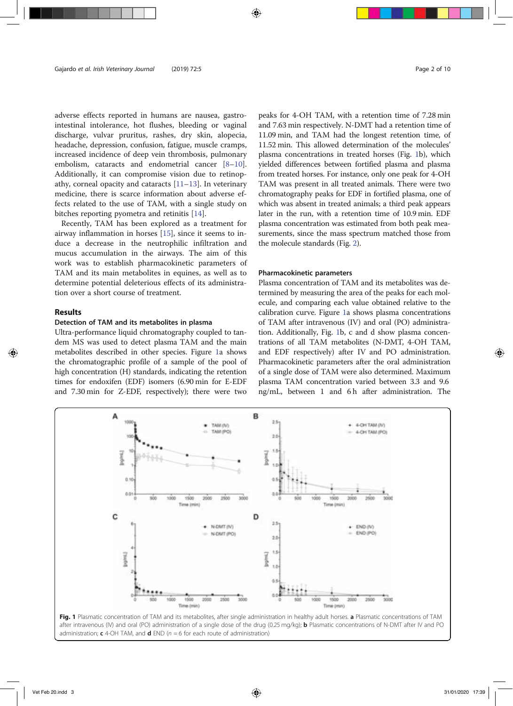adverse effects reported in humans are nausea, gastrointestinal intolerance, hot flushes, bleeding or vaginal discharge, vulvar pruritus, rashes, dry skin, alopecia, headache, depression, confusion, fatigue, muscle cramps, increased incidence of deep vein thrombosis, pulmonary embolism, cataracts and endometrial cancer [8–10]. Additionally, it can compromise vision due to retinopathy, corneal opacity and cataracts [11–13]. In veterinary medicine, there is scarce information about adverse effects related to the use of TAM, with a single study on bitches reporting pyometra and retinitis [14].

Recently, TAM has been explored as a treatment for airway inflammation in horses [15], since it seems to induce a decrease in the neutrophilic infiltration and mucus accumulation in the airways. The aim of this work was to establish pharmacokinetic parameters of TAM and its main metabolites in equines, as well as to determine potential deleterious effects of its administration over a short course of treatment.

# Results

# Detection of TAM and its metabolites in plasma

Ultra-performance liquid chromatography coupled to tandem MS was used to detect plasma TAM and the main metabolites described in other species. Figure 1a shows the chromatographic profile of a sample of the pool of high concentration (H) standards, indicating the retention times for endoxifen (EDF) isomers (6.90 min for E-EDF and 7.30 min for Z-EDF, respectively); there were two

peaks for 4-OH TAM, with a retention time of 7.28 min and 7.63 min respectively. N-DMT had a retention time of 11.09 min, and TAM had the longest retention time, of 11.52 min. This allowed determination of the molecules' plasma concentrations in treated horses (Fig. 1b), which yielded differences between fortified plasma and plasma from treated horses. For instance, only one peak for 4-OH TAM was present in all treated animals. There were two chromatography peaks for EDF in fortified plasma, one of which was absent in treated animals; a third peak appears later in the run, with a retention time of 10.9 min. EDF plasma concentration was estimated from both peak measurements, since the mass spectrum matched those from the molecule standards (Fig. 2).

# Pharmacokinetic parameters

Plasma concentration of TAM and its metabolites was determined by measuring the area of the peaks for each molecule, and comparing each value obtained relative to the calibration curve. Figure 1a shows plasma concentrations of TAM after intravenous (IV) and oral (PO) administration. Additionally, Fig. 1b, c and d show plasma concentrations of all TAM metabolites (N-DMT, 4-OH TAM, and EDF respectively) after IV and PO administration. Pharmacokinetic parameters after the oral administration of a single dose of TAM were also determined. Maximum plasma TAM concentration varied between 3.3 and 9.6 ng/mL, between 1 and 6 h after administration. The



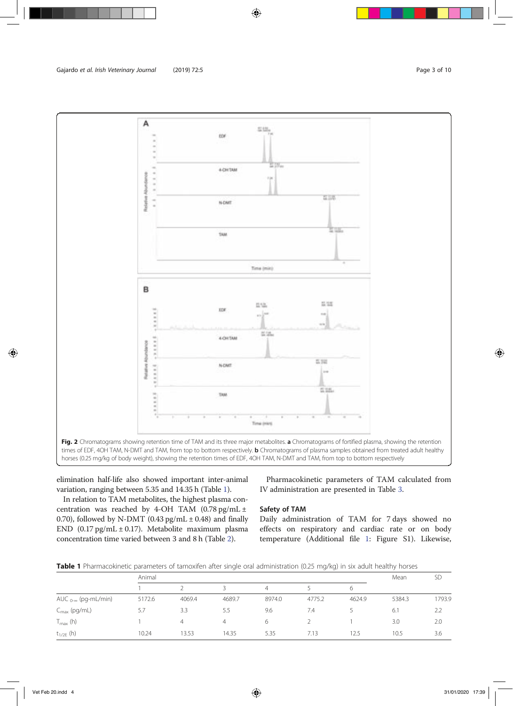

elimination half-life also showed important inter-animal variation, ranging between 5.35 and 14.35 h (Table 1).

In relation to TAM metabolites, the highest plasma concentration was reached by 4-OH TAM  $(0.78 \text{ pg/mL} \pm$ 0.70), followed by N-DMT (0.43 pg/mL  $\pm$  0.48) and finally END (0.17 pg/mL ± 0.17). Metabolite maximum plasma concentration time varied between 3 and 8 h (Table 2).

Pharmacokinetic parameters of TAM calculated from IV administration are presented in Table 3.

# Safety of TAM

Daily administration of TAM for 7 days showed no effects on respiratory and cardiac rate or on body temperature (Additional file 1: Figure S1). Likewise,

Table 1 Pharmacokinetic parameters of tamoxifen after single oral administration (0.25 mg/kg) in six adult healthy horses

|                               | Animal |        |        |                |        |        | Mean   | <b>SD</b> |
|-------------------------------|--------|--------|--------|----------------|--------|--------|--------|-----------|
|                               |        |        |        | $\overline{4}$ |        | 6      |        |           |
| AUC $_{0-\infty}$ (pg-mL/min) | 5172.6 | 4069.4 | 4689.7 | 8974.0         | 4775.2 | 4624.9 | 5384.3 | 1793.9    |
| $C_{\text{max}}$ (pg/mL)      | 5.7    | 3.3    | 5.5    | 9.6            | 7.4    |        | 6.1    | 2.2       |
| $T_{\text{max}}$ (h)          |        | 4      | 4      | 6              |        |        | 3.0    | 2.0       |
| $t_{1/2E}$ (h)                | 10.24  | 13.53  | 14.35  | 5.35           | 7.13   | 12.5   | 10.5   | 3.6       |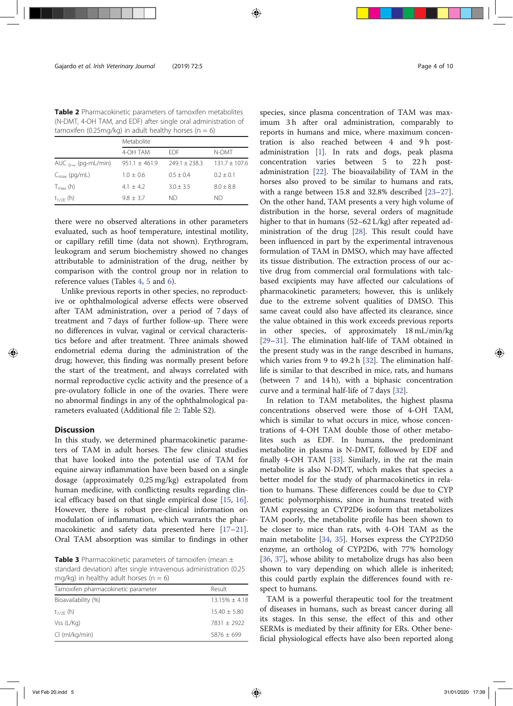Table 2 Pharmacokinetic parameters of tamoxifen metabolites (N-DMT, 4-OH TAM, and EDF) after single oral administration of tamoxifen (0.25mg/kg) in adult healthy horses ( $n = 6$ )

|                               | Metabolite      |                 |                 |  |  |  |
|-------------------------------|-----------------|-----------------|-----------------|--|--|--|
|                               | 4-OH TAM        | EDE.            | N-DMT           |  |  |  |
| AUC $_{0-\infty}$ (pg-mL/min) | $951.1 + 461.9$ | $749.1 + 738.3$ | $131.7 + 107.6$ |  |  |  |
| $C_{\text{max}}$ (pg/mL)      | $1.0 + 0.6$     | $0.5 + 0.4$     | $0.2 + 0.1$     |  |  |  |
| $T_{\text{max}}$ (h)          | $4.1 + 4.2$     | $3.0 + 3.5$     | $8.0 + 8.8$     |  |  |  |
| $t_{1/2F}$ (h)                | $9.8 + 3.7$     | ND.             | ΝD              |  |  |  |

there were no observed alterations in other parameters evaluated, such as hoof temperature, intestinal motility, or capillary refill time (data not shown). Erythrogram, leukogram and serum biochemistry showed no changes attributable to administration of the drug, neither by comparison with the control group nor in relation to reference values (Tables 4, 5 and 6).

Unlike previous reports in other species, no reproductive or ophthalmological adverse effects were observed after TAM administration, over a period of 7 days of treatment and 7 days of further follow-up. There were no differences in vulvar, vaginal or cervical characteristics before and after treatment. Three animals showed endometrial edema during the administration of the drug; however, this finding was normally present before the start of the treatment, and always correlated with normal reproductive cyclic activity and the presence of a pre-ovulatory follicle in one of the ovaries. There were no abnormal findings in any of the ophthalmological parameters evaluated (Additional file 2: Table S2).

# **Discussion**

In this study, we determined pharmacokinetic parameters of TAM in adult horses. The few clinical studies that have looked into the potential use of TAM for equine airway inflammation have been based on a single dosage (approximately 0,25 mg/kg) extrapolated from human medicine, with conflicting results regarding clinical efficacy based on that single empirical dose [15, 16]. However, there is robust pre-clinical information on modulation of inflammation, which warrants the pharmacokinetic and safety data presented here [17–21]. Oral TAM absorption was similar to findings in other

**Table 3** Pharmacokinetic parameters of tamoxifen (mean  $\pm$ standard deviation) after single intravenous administration (0.25 mg/kg) in healthy adult horses ( $n = 6$ )

| Result             |
|--------------------|
| $13.15\% \pm 4.18$ |
| $15.40 + 5.80$     |
| $7831 + 2922$      |
| $5876 \pm 699$     |
|                    |

species, since plasma concentration of TAM was maximum 3 h after oral administration, comparably to reports in humans and mice, where maximum concentration is also reached between 4 and 9h postadministration [1]. In rats and dogs, peak plasma concentration varies between 5 to 22 h postadministration [22]. The bioavailability of TAM in the horses also proved to be similar to humans and rats, with a range between 15.8 and 32.8% described [23–27]. On the other hand, TAM presents a very high volume of distribution in the horse, several orders of magnitude higher to that in humans (52–62 L/kg) after repeated administration of the drug [28]. This result could have been influenced in part by the experimental intravenous formulation of TAM in DMSO, which may have affected its tissue distribution. The extraction process of our active drug from commercial oral formulations with talcbased excipients may have affected our calculations of pharmacokinetic parameters; however, this is unlikely due to the extreme solvent qualities of DMSO. This same caveat could also have affected its clearance, since the value obtained in this work exceeds previous reports in other species, of approximately 18 mL/min/kg [29–31]. The elimination half-life of TAM obtained in the present study was in the range described in humans, which varies from 9 to 49.2 h [32]. The elimination halflife is similar to that described in mice, rats, and humans (between 7 and 14 h), with a biphasic concentration curve and a terminal half-life of 7 days [32].

In relation to TAM metabolites, the highest plasma concentrations observed were those of 4-OH TAM, which is similar to what occurs in mice, whose concentrations of 4-OH TAM double those of other metabolites such as EDF. In humans, the predominant metabolite in plasma is N-DMT, followed by EDF and finally 4-OH TAM [33]. Similarly, in the rat the main metabolite is also N-DMT, which makes that species a better model for the study of pharmacokinetics in relation to humans. These differences could be due to CYP genetic polymorphisms, since in humans treated with TAM expressing an CYP2D6 isoform that metabolizes TAM poorly, the metabolite profile has been shown to be closer to mice than rats, with 4-OH TAM as the main metabolite [34, 35]. Horses express the CYP2D50 enzyme, an ortholog of CYP2D6, with 77% homology [36, 37], whose ability to metabolize drugs has also been shown to vary depending on which allele is inherited; this could partly explain the differences found with respect to humans.

TAM is a powerful therapeutic tool for the treatment of diseases in humans, such as breast cancer during all its stages. In this sense, the effect of this and other SERMs is mediated by their affinity for ERs. Other beneficial physiological effects have also been reported along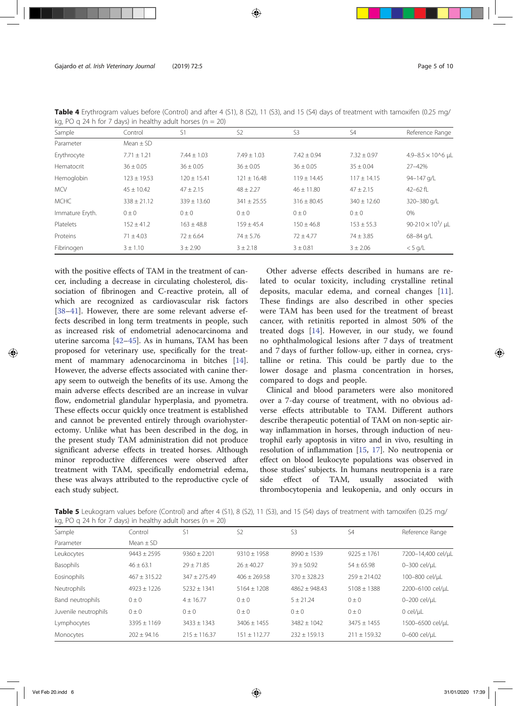| Sample          | Control         | S1              | S <sub>2</sub>  | S <sub>3</sub>  | S4              | Reference Range                      |
|-----------------|-----------------|-----------------|-----------------|-----------------|-----------------|--------------------------------------|
| Parameter       | Mean $\pm$ SD   |                 |                 |                 |                 |                                      |
| Erythrocyte     | $7.71 \pm 1.21$ | $7.44 \pm 1.03$ | $7.49 \pm 1.03$ | $7.42 \pm 0.94$ | $7.32 \pm 0.97$ | 4.9-8.5 $\times$ 10^6 µL             |
| Hematocrit      | $36 \pm 0.05$   | $36 \pm 0.05$   | $36 \pm 0.05$   | $36 \pm 0.05$   | $35 \pm 0.04$   | $27 - 42%$                           |
| Hemoglobin      | $123 \pm 19.53$ | $120 \pm 15.41$ | $121 \pm 16.48$ | $119 \pm 14.45$ | $117 \pm 14.15$ | 94-147 g/L                           |
| <b>MCV</b>      | $45 \pm 10.42$  | $47 \pm 2.15$   | $48 \pm 2.27$   | $46 \pm 11.80$  | $47 \pm 2.15$   | 42 $-62$ fL                          |
| <b>MCHC</b>     | $338 \pm 21.12$ | $339 \pm 13.60$ | $341 \pm 25.55$ | $316 \pm 80.45$ | $340 \pm 12.60$ | 320-380 g/L                          |
| Immature Eryth. | $0 \pm 0$       | $0 \pm 0$       | $0 \pm 0$       | $0 \pm 0$       | $0 \pm 0$       | 0%                                   |
| Platelets       | $152 \pm 41.2$  | $163 \pm 48.8$  | $159 + 45.4$    | $150 + 46.8$    | $153 \pm 55.3$  | 90-210 $\times$ 10 <sup>3</sup> / µL |
| Proteins        | $71 \pm 4.03$   | $72 \pm 6.64$   | $74 \pm 5.76$   | $72 \pm 4.77$   | $74 \pm 3.85$   | 68-84 g/L                            |
| Fibrinogen      | $3 \pm 1.10$    | $3 + 2.90$      | $3 \pm 2.18$    | $3 \pm 0.81$    | $3 \pm 2.06$    | $< 5$ q/L                            |

Table 4 Erythrogram values before (Control) and after 4 (S1), 8 (S2), 11 (S3), and 15 (S4) days of treatment with tamoxifen (0.25 mg/ kg, PO g 24 h for 7 days) in healthy adult horses ( $n = 20$ )

with the positive effects of TAM in the treatment of cancer, including a decrease in circulating cholesterol, dissociation of fibrinogen and C-reactive protein, all of which are recognized as cardiovascular risk factors [38–41]. However, there are some relevant adverse effects described in long term treatments in people, such as increased risk of endometrial adenocarcinoma and uterine sarcoma [42–45]. As in humans, TAM has been proposed for veterinary use, specifically for the treatment of mammary adenocarcinoma in bitches [14]. However, the adverse effects associated with canine therapy seem to outweigh the benefits of its use. Among the main adverse effects described are an increase in vulvar flow, endometrial glandular hyperplasia, and pyometra. These effects occur quickly once treatment is established and cannot be prevented entirely through ovariohysterectomy. Unlike what has been described in the dog, in the present study TAM administration did not produce significant adverse effects in treated horses. Although minor reproductive differences were observed after treatment with TAM, specifically endometrial edema, these was always attributed to the reproductive cycle of each study subject.

Other adverse effects described in humans are related to ocular toxicity, including crystalline retinal deposits, macular edema, and corneal changes [11]. These findings are also described in other species were TAM has been used for the treatment of breast cancer, with retinitis reported in almost 50% of the treated dogs [14]. However, in our study, we found no ophthalmological lesions after 7 days of treatment and 7 days of further follow-up, either in cornea, crystalline or retina. This could be partly due to the lower dosage and plasma concentration in horses, compared to dogs and people.

Clinical and blood parameters were also monitored over a 7-day course of treatment, with no obvious adverse effects attributable to TAM. Different authors describe therapeutic potential of TAM on non-septic airway inflammation in horses, through induction of neutrophil early apoptosis in vitro and in vivo, resulting in resolution of inflammation [15, 17]. No neutropenia or effect on blood leukocyte populations was observed in those studies' subjects. In humans neutropenia is a rare side effect of TAM, usually associated with thrombocytopenia and leukopenia, and only occurs in

Table 5 Leukogram values before (Control) and after 4 (S1), 8 (S2), 11 (S3), and 15 (S4) days of treatment with tamoxifen (0.25 mg/ kg, PO q 24 h for 7 days) in healthy adult horses ( $n = 20$ )

| Sample               | Control          | S1             | S <sub>2</sub>  | S <sub>3</sub>  | S <sub>4</sub>  | Reference Range    |
|----------------------|------------------|----------------|-----------------|-----------------|-----------------|--------------------|
| Parameter            | Mean $\pm$ SD    |                |                 |                 |                 |                    |
| Leukocytes           | $9443 + 2595$    | $9360 + 2201$  | $9310 \pm 1958$ | $8990 \pm 1539$ | $9225 \pm 1761$ | 7200-14,400 cel/uL |
| Basophils            | $46 + 63.1$      | $79 \pm 71.85$ | $26 + 40.27$    | $39 + 50.92$    | $54 \pm 65.98$  | 0-300 cel/uL       |
| Eosinophils          | $467 \pm 315.22$ | $347 + 275.49$ | $406 + 269.58$  | $370 + 328.23$  | $259 + 214.02$  | 100-800 cel/uL     |
| Neutrophils          | $4923 \pm 1226$  | $5232 + 1341$  | $5164 + 1208$   | $4862 + 948.43$ | $5108 \pm 1388$ | 2200-6100 cel/uL   |
| Band neutrophils     | $() + ()$        | $4 + 16.77$    | $() + ()$       | $5 + 21.24$     | $() + ()$       | 0-200 cel/uL       |
| Juvenile neutrophils | $0 \pm 0$        | $0 \pm 0$      | $0 \pm 0$       | $0 \pm 0$       | $0 \pm 0$       | $0$ cel/ $\mu$ L   |
| Lymphocytes          | $3395 + 1169$    | $3433 + 1343$  | $3406 + 1455$   | $3482 \pm 1042$ | $3475 + 1455$   | 1500-6500 cel/uL   |
| Monocytes            | $202 + 94.16$    | $215 + 116.37$ | $151 + 112.77$  | $232 + 159.13$  | $211 + 159.32$  | 0-600 cel/uL       |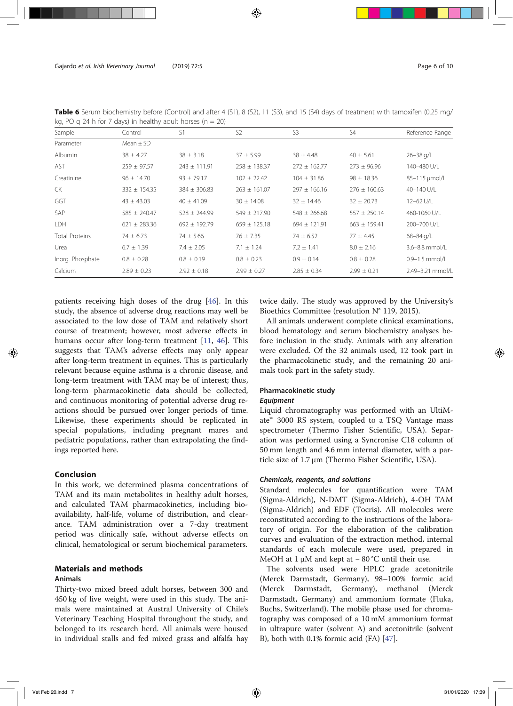| Sample                | Control          | S1               | S <sub>2</sub>   | S <sub>3</sub>   | S <sub>4</sub>   | Reference Range    |
|-----------------------|------------------|------------------|------------------|------------------|------------------|--------------------|
| Parameter             | Mean $\pm$ SD    |                  |                  |                  |                  |                    |
| Albumin               | $38 \pm 4.27$    | $38 \pm 3.18$    | $37 + 5.99$      | $38 \pm 4.48$    | $40 \pm 5.61$    | $26 - 38$ g/L      |
| <b>AST</b>            | $259 \pm 97.57$  | $243 \pm 111.91$ | $258 \pm 138.37$ | $272 \pm 162.77$ | $273 \pm 96.96$  | 140-480 U/L        |
| Creatinine            | $96 \pm 14.70$   | $93 \pm 79.17$   | $102 \pm 22.42$  | $104 \pm 31.86$  | $98 \pm 18.36$   | 85-115 µmol/L      |
| CK                    | $332 \pm 154.35$ | $384 \pm 306.83$ | $263 \pm 161.07$ | $297 \pm 166.16$ | $276 \pm 160.63$ | 40-140 U/L         |
| GGT                   | $43 \pm 43.03$   | $40 \pm 41.09$   | $30 \pm 14.08$   | $32 \pm 14.46$   | $32 \pm 20.73$   | 12-62 U/L          |
| SAP                   | $585 \pm 240.47$ | $528 \pm 244.99$ | $549 \pm 217.90$ | $548 \pm 266.68$ | $557 \pm 250.14$ | 460-1060 U/L       |
| LDH                   | $621 \pm 283.36$ | $692 \pm 192.79$ | $659 \pm 125.18$ | $694 \pm 121.91$ | $663 \pm 159.41$ | 200-700 U/L        |
| <b>Total Proteins</b> | $74 \pm 6.73$    | $74 \pm 5.66$    | $76 \pm 7.35$    | $74 \pm 6.52$    | $77 \pm 4.45$    | 68-84 g/L          |
| Urea                  | $6.7 \pm 1.39$   | $7.4 \pm 2.05$   | $7.1 \pm 1.24$   | $7.2 \pm 1.41$   | $8.0 \pm 2.16$   | 3.6-8.8 mmol/L     |
| Inorg. Phosphate      | $0.8 \pm 0.28$   | $0.8 \pm 0.19$   | $0.8 \pm 0.23$   | $0.9 \pm 0.14$   | $0.8 \pm 0.28$   | $0.9 - 1.5$ mmol/L |
| Calcium               | $2.89 \pm 0.23$  | $2.92 \pm 0.18$  | $2.99 \pm 0.27$  | $2.85 \pm 0.34$  | $2.99 \pm 0.21$  | 2.49-3.21 mmol/L   |

Table 6 Serum biochemistry before (Control) and after 4 (S1), 8 (S2), 11 (S3), and 15 (S4) days of treatment with tamoxifen (0.25 mg/ kg, PO g 24 h for 7 days) in healthy adult horses ( $n = 20$ )

patients receiving high doses of the drug [46]. In this study, the absence of adverse drug reactions may well be associated to the low dose of TAM and relatively short course of treatment; however, most adverse effects in humans occur after long-term treatment [11, 46]. This suggests that TAM's adverse effects may only appear after long-term treatment in equines. This is particularly relevant because equine asthma is a chronic disease, and long-term treatment with TAM may be of interest; thus, long-term pharmacokinetic data should be collected, and continuous monitoring of potential adverse drug reactions should be pursued over longer periods of time. Likewise, these experiments should be replicated in special populations, including pregnant mares and pediatric populations, rather than extrapolating the findings reported here.

# Conclusion

In this work, we determined plasma concentrations of TAM and its main metabolites in healthy adult horses, and calculated TAM pharmacokinetics, including bioavailability, half-life, volume of distribution, and clearance. TAM administration over a 7-day treatment period was clinically safe, without adverse effects on clinical, hematological or serum biochemical parameters.

# Materials and methods Animals

Thirty-two mixed breed adult horses, between 300 and 450 kg of live weight, were used in this study. The animals were maintained at Austral University of Chile's Veterinary Teaching Hospital throughout the study, and belonged to its research herd. All animals were housed in individual stalls and fed mixed grass and alfalfa hay twice daily. The study was approved by the University's Bioethics Committee (resolution N° 119, 2015).

All animals underwent complete clinical examinations, blood hematology and serum biochemistry analyses before inclusion in the study. Animals with any alteration were excluded. Of the 32 animals used, 12 took part in the pharmacokinetic study, and the remaining 20 animals took part in the safety study.

# Pharmacokinetic study

# Equipment

Liquid chromatography was performed with an UltiMate™ 3000 RS system, coupled to a TSQ Vantage mass spectrometer (Thermo Fisher Scientific, USA). Separation was performed using a Syncronise C18 column of 50 mm length and 4.6 mm internal diameter, with a particle size of 1.7 μm (Thermo Fisher Scientific, USA).

# Chemicals, reagents, and solutions

Standard molecules for quantification were TAM (Sigma-Aldrich), N-DMT (Sigma-Aldrich), 4-OH TAM (Sigma-Aldrich) and EDF (Tocris). All molecules were reconstituted according to the instructions of the laboratory of origin. For the elaboration of the calibration curves and evaluation of the extraction method, internal standards of each molecule were used, prepared in MeOH at 1 μM and kept at − 80 °C until their use.

The solvents used were HPLC grade acetonitrile (Merck Darmstadt, Germany), 98–100% formic acid (Merck Darmstadt, Germany), methanol (Merck Darmstadt, Germany) and ammonium formate (Fluka, Buchs, Switzerland). The mobile phase used for chromatography was composed of a 10 mM ammonium format in ultrapure water (solvent A) and acetonitrile (solvent B), both with 0.1% formic acid (FA) [47].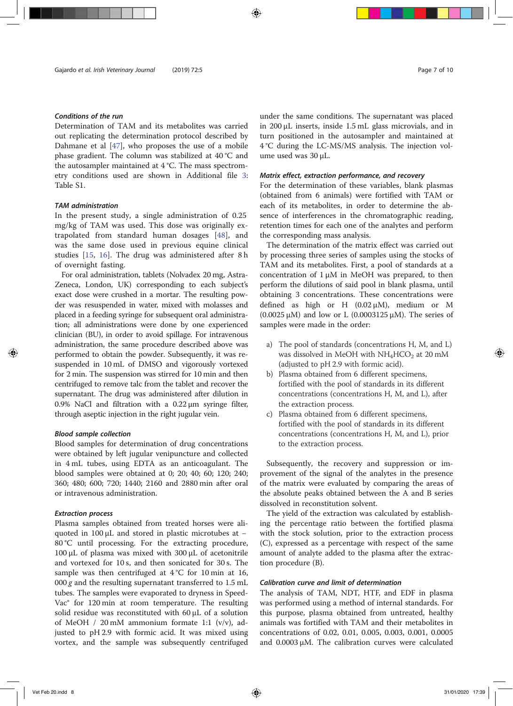# Conditions of the run

Determination of TAM and its metabolites was carried out replicating the determination protocol described by Dahmane et al [47], who proposes the use of a mobile phase gradient. The column was stabilized at 40 °C and the autosampler maintained at 4 °C. The mass spectrometry conditions used are shown in Additional file 3: Table S1.

# TAM administration

In the present study, a single administration of 0.25 mg/kg of TAM was used. This dose was originally extrapolated from standard human dosages [48], and was the same dose used in previous equine clinical studies [15, 16]. The drug was administered after 8 h of overnight fasting.

For oral administration, tablets (Nolvadex 20 mg, Astra-Zeneca, London, UK) corresponding to each subject's exact dose were crushed in a mortar. The resulting powder was resuspended in water, mixed with molasses and placed in a feeding syringe for subsequent oral administration; all administrations were done by one experienced clinician (BU), in order to avoid spillage. For intravenous administration, the same procedure described above was performed to obtain the powder. Subsequently, it was resuspended in 10 mL of DMSO and vigorously vortexed for 2 min. The suspension was stirred for 10 min and then centrifuged to remove talc from the tablet and recover the supernatant. The drug was administered after dilution in 0.9% NaCl and filtration with a 0.22 μm syringe filter, through aseptic injection in the right jugular vein.

# Blood sample collection

Blood samples for determination of drug concentrations were obtained by left jugular venipuncture and collected in 4 mL tubes, using EDTA as an anticoagulant. The blood samples were obtained at 0; 20; 40; 60; 120; 240; 360; 480; 600; 720; 1440; 2160 and 2880 min after oral or intravenous administration.

# Extraction process

Plasma samples obtained from treated horses were aliquoted in 100 μL and stored in plastic microtubes at − 80 °C until processing. For the extracting procedure, 100 μL of plasma was mixed with 300 μL of acetonitrile and vortexed for 10 s, and then sonicated for 30 s. The sample was then centrifuged at  $4^{\circ}$ C for 10 min at 16, 000 g and the resulting supernatant transferred to  $1.5$  mL tubes. The samples were evaporated to dryness in Speed-Vac® for 120 min at room temperature. The resulting solid residue was reconstituted with 60 μL of a solution of MeOH / 20 mM ammonium formate 1:1 (v/v), adjusted to pH 2.9 with formic acid. It was mixed using vortex, and the sample was subsequently centrifuged under the same conditions. The supernatant was placed in 200 μL inserts, inside 1.5 mL glass microvials, and in turn positioned in the autosampler and maintained at 4 °C during the LC-MS/MS analysis. The injection volume used was 30 μL.

# Matrix effect, extraction performance, and recovery

For the determination of these variables, blank plasmas (obtained from 6 animals) were fortified with TAM or each of its metabolites, in order to determine the absence of interferences in the chromatographic reading, retention times for each one of the analytes and perform the corresponding mass analysis.

The determination of the matrix effect was carried out by processing three series of samples using the stocks of TAM and its metabolites. First, a pool of standards at a concentration of  $1 \mu M$  in MeOH was prepared, to then perform the dilutions of said pool in blank plasma, until obtaining 3 concentrations. These concentrations were defined as high or H (0.02 μM), medium or M (0.0025  $\mu$ M) and low or L (0.0003125  $\mu$ M). The series of samples were made in the order:

- a) The pool of standards (concentrations H, M, and L) was dissolved in MeOH with  $NH_4HCO_2$  at 20 mM (adjusted to pH 2.9 with formic acid).
- b) Plasma obtained from 6 different specimens, fortified with the pool of standards in its different concentrations (concentrations H, M, and L), after the extraction process.
- c) Plasma obtained from 6 different specimens, fortified with the pool of standards in its different concentrations (concentrations H, M, and L), prior to the extraction process.

Subsequently, the recovery and suppression or improvement of the signal of the analytes in the presence of the matrix were evaluated by comparing the areas of the absolute peaks obtained between the A and B series dissolved in reconstitution solvent.

The yield of the extraction was calculated by establishing the percentage ratio between the fortified plasma with the stock solution, prior to the extraction process (C), expressed as a percentage with respect of the same amount of analyte added to the plasma after the extraction procedure (B).

### Calibration curve and limit of determination

The analysis of TAM, NDT, HTF, and EDF in plasma was performed using a method of internal standards. For this purpose, plasma obtained from untreated, healthy animals was fortified with TAM and their metabolites in concentrations of 0.02, 0.01, 0.005, 0.003, 0.001, 0.0005 and 0.0003 μM. The calibration curves were calculated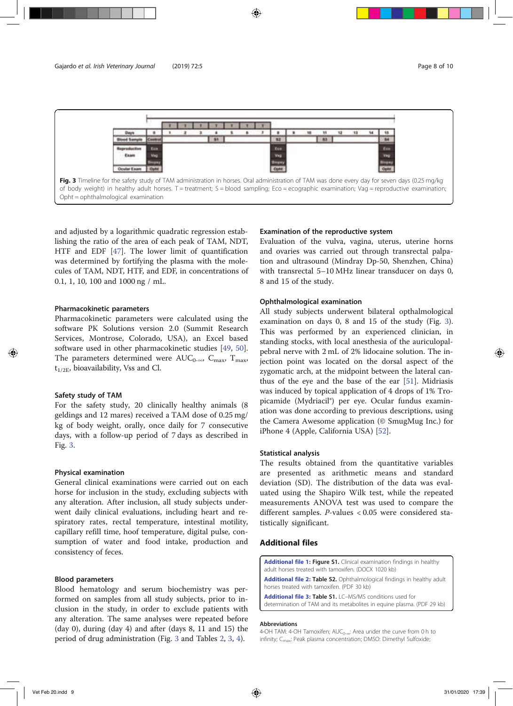

and adjusted by a logarithmic quadratic regression establishing the ratio of the area of each peak of TAM, NDT, HTF and EDF [47]. The lower limit of quantification was determined by fortifying the plasma with the molecules of TAM, NDT, HTF, and EDF, in concentrations of 0.1, 1, 10, 100 and 1000 ng / mL.

#### Pharmacokinetic parameters

Pharmacokinetic parameters were calculated using the software PK Solutions version 2.0 (Summit Research Services, Montrose, Colorado, USA), an Excel based software used in other pharmacokinetic studies [49, 50]. The parameters determined were AUC<sub>0-∞</sub>, C<sub>max</sub>, T<sub>max</sub>,  $t_{1/2E}$ , bioavailability, Vss and Cl.

### Safety study of TAM

For the safety study, 20 clinically healthy animals (8 geldings and 12 mares) received a TAM dose of 0.25 mg/ kg of body weight, orally, once daily for 7 consecutive days, with a follow-up period of 7 days as described in Fig. 3.

#### Physical examination

General clinical examinations were carried out on each horse for inclusion in the study, excluding subjects with any alteration. After inclusion, all study subjects underwent daily clinical evaluations, including heart and respiratory rates, rectal temperature, intestinal motility, capillary refill time, hoof temperature, digital pulse, consumption of water and food intake, production and consistency of feces.

# Blood parameters

Blood hematology and serum biochemistry was performed on samples from all study subjects, prior to inclusion in the study, in order to exclude patients with any alteration. The same analyses were repeated before (day 0), during (day 4) and after (days 8, 11 and 15) the period of drug administration (Fig. 3 and Tables 2, 3, 4).

# Examination of the reproductive system

Evaluation of the vulva, vagina, uterus, uterine horns and ovaries was carried out through transrectal palpation and ultrasound (Mindray Dp-50, Shenzhen, China) with transrectal 5–10 MHz linear transducer on days 0, 8 and 15 of the study.

# Ophthalmological examination

All study subjects underwent bilateral opthalmological examination on days 0, 8 and 15 of the study (Fig. 3). This was performed by an experienced clinician, in standing stocks, with local anesthesia of the auriculopalpebral nerve with 2 mL of 2% lidocaine solution. The injection point was located on the dorsal aspect of the zygomatic arch, at the midpoint between the lateral canthus of the eye and the base of the ear [51]. Midriasis was induced by topical application of 4 drops of 1% Tropicamide (Mydriacil®) per eye. Ocular fundus examination was done according to previous descriptions, using the Camera Awesome application (© SmugMug Inc.) for iPhone 4 (Apple, California USA) [52].

### Statistical analysis

The results obtained from the quantitative variables are presented as arithmetic means and standard deviation (SD). The distribution of the data was evaluated using the Shapiro Wilk test, while the repeated measurements ANOVA test was used to compare the different samples. P-values < 0.05 were considered statistically significant.

# Additional files

Additional file 1: Figure S1. Clinical examination findings in healthy adult horses treated with tamoxifen. (DOCX 1020 kb)

Additional file 2: Table S2. Ophthalmological findings in healthy adult horses treated with tamoxifen. (PDF 30 kb)

```
Additional file 3: Table S1. LC-MS/MS conditions used for
determination of TAM and its metabolites in equine plasma. (PDF 29 kb)
```
#### Abbreviations

4-OH TAM: 4-OH Tamoxifen;  $AUC_{0-\infty}$ : Area under the curve from 0 h to infinity; C<sub>max</sub>: Peak plasma concentration; DMSO: Dimethyl Sulfoxide;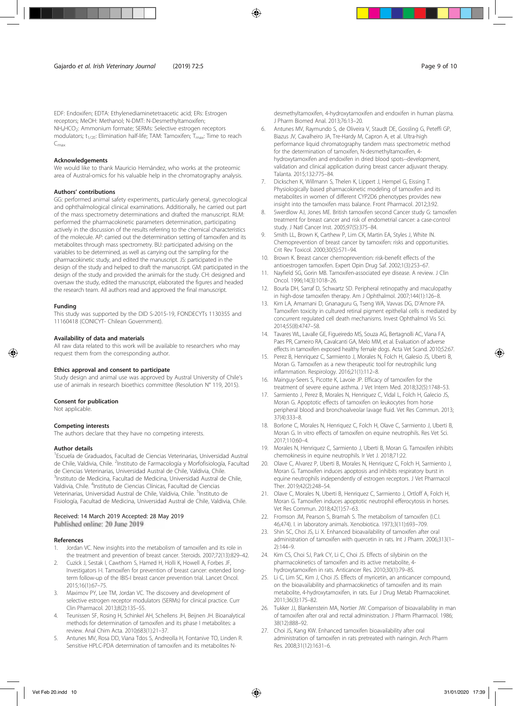EDF: Endoxifen; EDTA: Ethylenediaminetetraacetic acid; ERs: Estrogen receptors; MeOH: Methanol; N-DMT: N-Desmethyltamoxifen; NH<sub>4</sub>HCO<sub>2</sub>: Ammonium formate; SERMs: Selective estrogen receptors modulators; t<sub>1/2E</sub>: Elimination half-life; TAM: Tamoxifen; T<sub>max</sub>: Time to reach  $C_{\text{max}}$ 

#### Acknowledgements

We would like to thank Mauricio Hernández, who works at the proteomic area of Austral-omics for his valuable help in the chromatography analysis.

#### Authors' contributions

GG: performed animal safety experiments, particularly general, gynecological and ophthalmological clinical examinations. Additionally, he carried out part of the mass spectrometry determinations and drafted the manuscript. RLM: performed the pharmacokinetic parameters determination, participating actively in the discussion of the results referring to the chemical characteristics of the molecule. AP: carried out the determination setting of tamoxifen and its metabolites through mass spectrometry. BU: participated advising on the variables to be determined, as well as carrying out the sampling for the pharmacokinetic study, and edited the manuscript. JS: participated in the design of the study and helped to draft the manuscript. GM: participated in the design of the study and provided the animals for the study. CH: designed and oversaw the study, edited the manuscript, elaborated the figures and headed the research team. All authors read and approved the final manuscript.

#### Funding

This study was supported by the DID S-2015-19, FONDECYTs 1130355 and 11160418 (CONICYT- Chilean Government).

#### Availability of data and materials

All raw data related to this work will be available to researchers who may request them from the corresponding author.

#### Ethics approval and consent to participate

Study design and animal use was approved by Austral University of Chile's use of animals in research bioethics committee (Resolution N° 119, 2015).

#### Consent for publication

Not applicable.

#### Competing interests

The authors declare that they have no competing interests.

#### Author details

<sup>1</sup> Escuela de Graduados, Facultad de Ciencias Veterinarias, Universidad Austral de Chile, Valdivia, Chile. <sup>2</sup>Instituto de Farmacología y Morfofisiología, Facultad de Ciencias Veterinarias, Universidad Austral de Chile, Valdivia, Chile. <sup>3</sup>Instituto de Medicina, Facultad de Medicina, Universidad Austral de Chile, Valdivia, Chile. <sup>4</sup>Instituto de Ciencias Clínicas, Facultad de Ciencias Veterinarias, Universidad Austral de Chile, Valdivia, Chile. <sup>5</sup>Instituto de Fisiología, Facultad de Medicina, Universidad Austral de Chile, Valdivia, Chile.

#### Received: 14 March 2019 Accepted: 28 May 2019

Published online: 20 June 2019

#### References

- Jordan VC. New insights into the metabolism of tamoxifen and its role in the treatment and prevention of breast cancer. Steroids. 2007;72(13):829–42.
- 2. Cuzick J, Sestak I, Cawthorn S, Hamed H, Holli K, Howell A, Forbes JF, Investigators I-I. Tamoxifen for prevention of breast cancer: extended longterm follow-up of the IBIS-I breast cancer prevention trial. Lancet Oncol. 2015;16(1):67–75.
- 3. Maximov PY, Lee TM, Jordan VC. The discovery and development of selective estrogen receptor modulators (SERMs) for clinical practice. Curr Clin Pharmacol. 2013;8(2):135–55.
- 4. Teunissen SF, Rosing H, Schinkel AH, Schellens JH, Beijnen JH. Bioanalytical methods for determination of tamoxifen and its phase I metabolites: a review. Anal Chim Acta. 2010;683(1):21–37.
- 5. Antunes MV, Rosa DD, Viana Tdos S, Andreolla H, Fontanive TO, Linden R. Sensitive HPLC-PDA determination of tamoxifen and its metabolites N-

desmethyltamoxifen, 4-hydroxytamoxifen and endoxifen in human plasma. J Pharm Biomed Anal. 2013;76:13–20.

- 6. Antunes MV, Raymundo S, de Oliveira V, Staudt DE, Gossling G, Peteffi GP, Biazus JV, Cavalheiro JA, Tre-Hardy M, Capron A, et al. Ultra-high performance liquid chromatography tandem mass spectrometric method for the determination of tamoxifen, N-desmethyltamoxifen, 4 hydroxytamoxifen and endoxifen in dried blood spots--development, validation and clinical application during breast cancer adjuvant therapy. Talanta. 2015;132:775–84.
- 7. Dickschen K, Willmann S, Thelen K, Lippert J, Hempel G, Eissing T. Physiologically based pharmacokinetic modeling of tamoxifen and its metabolites in women of different CYP2D6 phenotypes provides new insight into the tamoxifen mass balance. Front Pharmacol. 2012;3:92.
- Swerdlow AJ, Jones ME. British tamoxifen second Cancer study G: tamoxifen treatment for breast cancer and risk of endometrial cancer: a case-control study. J Natl Cancer Inst. 2005;97(5):375–84.
- 9. Smith LL, Brown K, Carthew P, Lim CK, Martin EA, Styles J, White IN. Chemoprevention of breast cancer by tamoxifen: risks and opportunities. Crit Rev Toxicol. 2000;30(5):571–94.
- 10. Brown K. Breast cancer chemoprevention: risk-benefit effects of the antioestrogen tamoxifen. Expert Opin Drug Saf. 2002;1(3):253–67.
- 11. Nayfield SG, Gorin MB. Tamoxifen-associated eye disease. A review. J Clin Oncol. 1996;14(3):1018–26.
- 12. Bourla DH, Sarraf D, Schwartz SD. Peripheral retinopathy and maculopathy in high-dose tamoxifen therapy. Am J Ophthalmol. 2007;144(1):126–8.
- 13. Kim LA, Amarnani D, Gnanaguru G, Tseng WA, Vavvas DG, D'Amore PA. Tamoxifen toxicity in cultured retinal pigment epithelial cells is mediated by concurrent regulated cell death mechanisms. Invest Ophthalmol Vis Sci. 2014;55(8):4747–58.
- 14. Tavares WL, Lavalle GE, Figueiredo MS, Souza AG, Bertagnolli AC, Viana FA, Paes PR, Carneiro RA, Cavalcanti GA, Melo MM, et al. Evaluation of adverse effects in tamoxifen exposed healthy female dogs. Acta Vet Scand. 2010;52:67.
- 15. Perez B, Henriquez C, Sarmiento J, Morales N, Folch H, Galesio JS, Uberti B, Moran G. Tamoxifen as a new therapeutic tool for neutrophilic lung inflammation. Respirology. 2016;21(1):112–8.
- 16. Mainguy-Seers S, Picotte K, Lavoie JP. Efficacy of tamoxifen for the treatment of severe equine asthma. J Vet Intern Med. 2018;32(5):1748–53.
- 17. Sarmiento J, Perez B, Morales N, Henriquez C, Vidal L, Folch H, Galecio JS, Moran G. Apoptotic effects of tamoxifen on leukocytes from horse peripheral blood and bronchoalveolar lavage fluid. Vet Res Commun. 2013; 37(4):333–8.
- 18. Borlone C, Morales N, Henriquez C, Folch H, Olave C, Sarmiento J, Uberti B, Moran G. In vitro effects of tamoxifen on equine neutrophils. Res Vet Sci. 2017;110:60–4.
- 19. Morales N, Henriquez C, Sarmiento J, Uberti B, Moran G. Tamoxifen inhibits chemokinesis in equine neutrophils. Ir Vet J. 2018;71:22.
- 20. Olave C, Alvarez P, Uberti B, Morales N, Henriquez C, Folch H, Sarmiento J, Moran G. Tamoxifen induces apoptosis and inhibits respiratory burst in equine neutrophils independently of estrogen receptors. J Vet Pharmacol Ther. 2019;42(2):248–54.
- 21. Olave C, Morales N, Uberti B, Henriquez C, Sarmiento J, Ortloff A, Folch H, Moran G. Tamoxifen induces apoptotic neutrophil efferocytosis in horses. Vet Res Commun. 2018;42(1):57–63.
- 22. Fromson JM, Pearson S, Bramah S. The metabolism of tamoxifen (I.C.I. 46,474). I. in laboratory animals. Xenobiotica. 1973;3(11):693–709.
- 23. Shin SC, Choi JS, Li X. Enhanced bioavailability of tamoxifen after oral administration of tamoxifen with quercetin in rats. Int J Pharm. 2006;313(1– 2):144–9.
- 24. Kim CS, Choi SJ, Park CY, Li C, Choi JS. Effects of silybinin on the pharmacokinetics of tamoxifen and its active metabolite, 4 hydroxytamoxifen in rats. Anticancer Res. 2010;30(1):79–85.
- 25. Li C, Lim SC, Kim J, Choi JS. Effects of myricetin, an anticancer compound, on the bioavailability and pharmacokinetics of tamoxifen and its main metabolite, 4-hydroxytamoxifen, in rats. Eur J Drug Metab Pharmacokinet. 2011;36(3):175–82.
- 26. Tukker JJ, Blankenstein MA, Nortier JW. Comparison of bioavailability in man of tamoxifen after oral and rectal administration. J Pharm Pharmacol. 1986; 38(12):888–92.
- 27. Choi JS, Kang KW. Enhanced tamoxifen bioavailability after oral administration of tamoxifen in rats pretreated with naringin. Arch Pharm Res. 2008;31(12):1631–6.